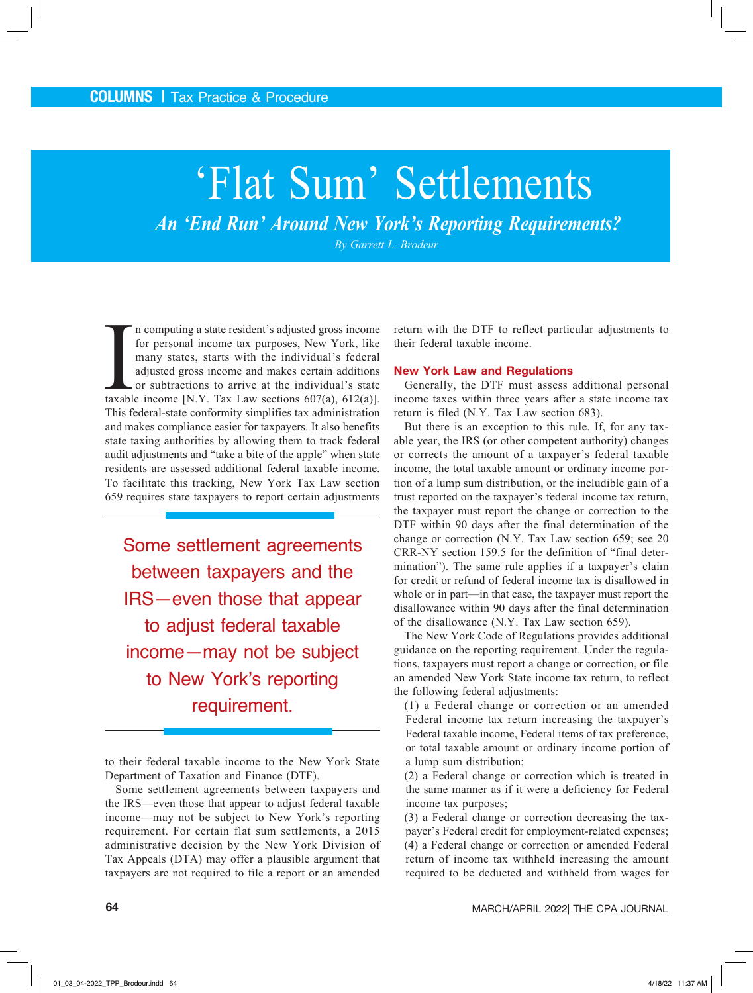# 'Flat Sum' Settlements

*An 'End Run' Around New York's Reporting Requirements?* 

*By Garrett L. Brodeur*

In computing a state resident's adjusted gross income<br>for personal income tax purposes, New York, like<br>many states, starts with the individual's federal<br>adjusted gross income and makes certain additions<br>or subtractions to n computing a state resident's adjusted gross income for personal income tax purposes, New York, like many states, starts with the individual's federal adjusted gross income and makes certain additions or subtractions to arrive at the individual's state This federal-state conformity simplifies tax administration and makes compliance easier for taxpayers. It also benefits state taxing authorities by allowing them to track federal audit adjustments and "take a bite of the apple" when state residents are assessed additional federal taxable income. To facilitate this tracking, New York Tax Law section 659 requires state taxpayers to report certain adjustments

Some settlement agreements between taxpayers and the IRS—even those that appear to adjust federal taxable income—may not be subject to New York's reporting requirement.

to their federal taxable income to the New York State Department of Taxation and Finance (DTF).

Some settlement agreements between taxpayers and the IRS—even those that appear to adjust federal taxable income—may not be subject to New York's reporting requirement. For certain flat sum settlements, a 2015 administrative decision by the New York Division of Tax Appeals (DTA) may offer a plausible argument that taxpayers are not required to file a report or an amended

return with the DTF to reflect particular adjustments to their federal taxable income.

### **New York Law and Regulations**

Generally, the DTF must assess additional personal income taxes within three years after a state income tax return is filed (N.Y. Tax Law section 683).

But there is an exception to this rule. If, for any taxable year, the IRS (or other competent authority) changes or corrects the amount of a taxpayer's federal taxable income, the total taxable amount or ordinary income portion of a lump sum distribution, or the includible gain of a trust reported on the taxpayer's federal income tax return, the taxpayer must report the change or correction to the DTF within 90 days after the final determination of the change or correction (N.Y. Tax Law section 659; see 20 CRR-NY section 159.5 for the definition of "final determination"). The same rule applies if a taxpayer's claim for credit or refund of federal income tax is disallowed in whole or in part—in that case, the taxpayer must report the disallowance within 90 days after the final determination of the disallowance (N.Y. Tax Law section 659).

The New York Code of Regulations provides additional guidance on the reporting requirement. Under the regulations, taxpayers must report a change or correction, or file an amended New York State income tax return, to reflect the following federal adjustments:

(1) a Federal change or correction or an amended Federal income tax return increasing the taxpayer's Federal taxable income, Federal items of tax preference, or total taxable amount or ordinary income portion of a lump sum distribution;

(2) a Federal change or correction which is treated in the same manner as if it were a deficiency for Federal income tax purposes;

(3) a Federal change or correction decreasing the taxpayer's Federal credit for employment-related expenses; (4) a Federal change or correction or amended Federal return of income tax withheld increasing the amount required to be deducted and withheld from wages for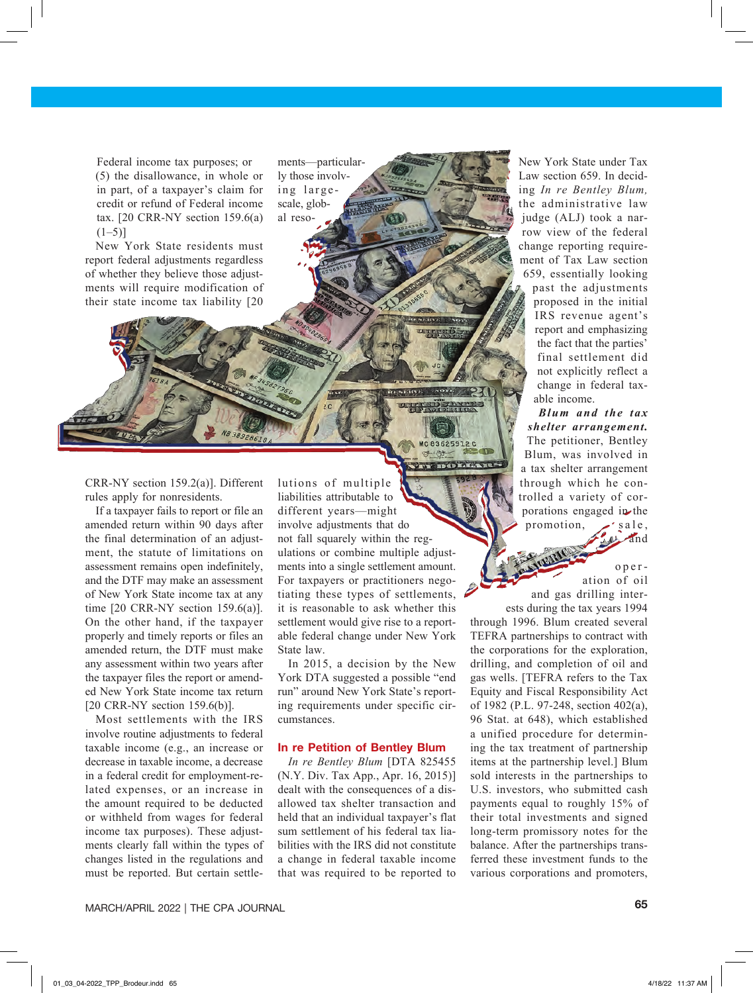Federal income tax purposes; or (5) the disallowance, in whole or in part, of a taxpayer's claim for credit or refund of Federal income tax.  $[20 \text{ CRR-NY section } 159.6(a)]$  $(1–5)$ ]

New York State residents must report federal adjustments regardless of whether they believe those adjustments will require modification of their state income tax liability [20

ments—particularly those involving largescale, global reso-

CRR-NY section 159.2(a)]. Different rules apply for nonresidents.

If a taxpayer fails to report or file an amended return within 90 days after the final determination of an adjustment, the statute of limitations on assessment remains open indefinitely, and the DTF may make an assessment of New York State income tax at any time [20 CRR-NY section 159.6(a)]. On the other hand, if the taxpayer properly and timely reports or files an amended return, the DTF must make any assessment within two years after the taxpayer files the report or amended New York State income tax return [20 CRR-NY section 159.6(b)].

Most settlements with the IRS involve routine adjustments to federal taxable income (e.g., an increase or decrease in taxable income, a decrease in a federal credit for employment-related expenses, or an increase in the amount required to be deducted or withheld from wages for federal income tax purposes). These adjustments clearly fall within the types of changes listed in the regulations and must be reported. But certain settlelutions of multiple liabilities attributable to different years—might involve adjustments that do not fall squarely within the regulations or combine multiple adjustments into a single settlement amount. For taxpayers or practitioners negotiating these types of settlements, it is reasonable to ask whether this settlement would give rise to a reportable federal change under New York State law.

MC83625912C

In 2015, a decision by the New York DTA suggested a possible "end run" around New York State's reporting requirements under specific circumstances.

#### **In re Petition of Bentley Blum**

*In re Bentley Blum* [DTA 825455 (N.Y. Div. Tax App., Apr. 16, 2015)] dealt with the consequences of a disallowed tax shelter transaction and held that an individual taxpayer's flat sum settlement of his federal tax liabilities with the IRS did not constitute a change in federal taxable income that was required to be reported to New York State under Tax Law section 659. In deciding *In re Bentley Blum,* the administrative law judge (ALJ) took a narrow view of the federal change reporting requirement of Tax Law section 659, essentially looking past the adjustments proposed in the initial IRS revenue agent's report and emphasizing the fact that the parties' final settlement did not explicitly reflect a change in federal taxable income.

## *Blum and the tax shelter arrangement.*

The petitioner, Bentley Blum, was involved in a tax shelter arrangement through which he controlled a variety of corporations engaged in the promotion,  $\mathcal{L}$  sale, and

and gas drilling inter-

oper ation of oil

ests during the tax years 1994 through 1996. Blum created several TEFRA partnerships to contract with the corporations for the exploration, drilling, and completion of oil and gas wells. [TEFRA refers to the Tax Equity and Fiscal Responsibility Act of 1982 (P.L. 97-248, section 402(a), 96 Stat. at 648), which established a unified procedure for determining the tax treatment of partnership items at the partnership level.] Blum sold interests in the partnerships to U.S. investors, who submitted cash payments equal to roughly 15% of their total investments and signed long-term promissory notes for the balance. After the partnerships transferred these investment funds to the various corporations and promoters,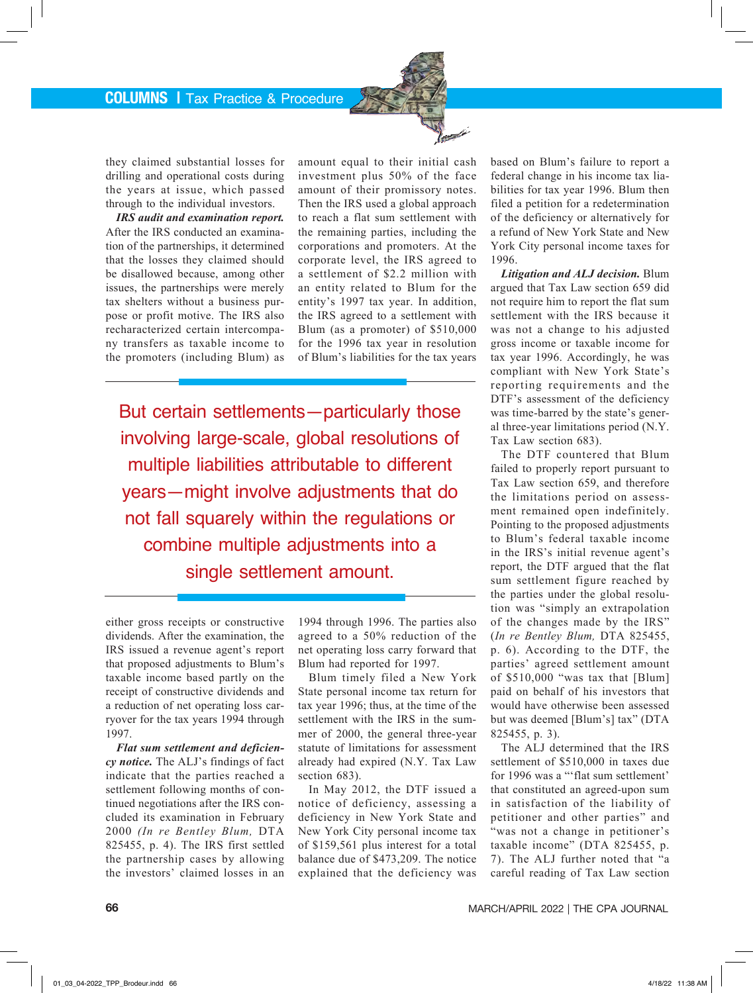they claimed substantial losses for drilling and operational costs during the years at issue, which passed through to the individual investors.

*IRS audit and examination report.* After the IRS conducted an examination of the partnerships, it determined that the losses they claimed should be disallowed because, among other issues, the partnerships were merely tax shelters without a business purpose or profit motive. The IRS also recharacterized certain intercompany transfers as taxable income to the promoters (including Blum) as

amount equal to their initial cash investment plus 50% of the face amount of their promissory notes. Then the IRS used a global approach to reach a flat sum settlement with the remaining parties, including the corporations and promoters. At the corporate level, the IRS agreed to a settlement of \$2.2 million with an entity related to Blum for the entity's 1997 tax year. In addition, the IRS agreed to a settlement with Blum (as a promoter) of \$510,000 for the 1996 tax year in resolution of Blum's liabilities for the tax years

But certain settlements—particularly those involving large-scale, global resolutions of multiple liabilities attributable to different years—might involve adjustments that do not fall squarely within the regulations or combine multiple adjustments into a single settlement amount.

either gross receipts or constructive dividends. After the examination, the IRS issued a revenue agent's report that proposed adjustments to Blum's taxable income based partly on the receipt of constructive dividends and a reduction of net operating loss carryover for the tax years 1994 through 1997.

*Flat sum settlement and deficiency notice.* The ALJ's findings of fact indicate that the parties reached a settlement following months of continued negotiations after the IRS concluded its examination in February 2000 *(In re Bentley Blum,* DTA 825455, p. 4). The IRS first settled the partnership cases by allowing the investors' claimed losses in an

1994 through 1996. The parties also agreed to a 50% reduction of the net operating loss carry forward that Blum had reported for 1997.

Blum timely filed a New York State personal income tax return for tax year 1996; thus, at the time of the settlement with the IRS in the summer of 2000, the general three-year statute of limitations for assessment already had expired (N.Y. Tax Law section 683).

In May 2012, the DTF issued a notice of deficiency, assessing a deficiency in New York State and New York City personal income tax of \$159,561 plus interest for a total balance due of \$473,209. The notice explained that the deficiency was

based on Blum's failure to report a federal change in his income tax liabilities for tax year 1996. Blum then filed a petition for a redetermination of the deficiency or alternatively for a refund of New York State and New York City personal income taxes for 1996.

*Litigation and ALJ decision.* Blum argued that Tax Law section 659 did not require him to report the flat sum settlement with the IRS because it was not a change to his adjusted gross income or taxable income for tax year 1996. Accordingly, he was compliant with New York State's reporting requirements and the DTF's assessment of the deficiency was time-barred by the state's general three-year limitations period (N.Y. Tax Law section 683).

The DTF countered that Blum failed to properly report pursuant to Tax Law section 659, and therefore the limitations period on assessment remained open indefinitely. Pointing to the proposed adjustments to Blum's federal taxable income in the IRS's initial revenue agent's report, the DTF argued that the flat sum settlement figure reached by the parties under the global resolution was "simply an extrapolation of the changes made by the IRS" (*In re Bentley Blum,* DTA 825455, p. 6). According to the DTF, the parties' agreed settlement amount of \$510,000 "was tax that [Blum] paid on behalf of his investors that would have otherwise been assessed but was deemed [Blum's] tax" (DTA 825455, p. 3).

The ALJ determined that the IRS settlement of \$510,000 in taxes due for 1996 was a "'flat sum settlement' that constituted an agreed-upon sum in satisfaction of the liability of petitioner and other parties" and "was not a change in petitioner's taxable income" (DTA 825455, p. 7). The ALJ further noted that "a careful reading of Tax Law section